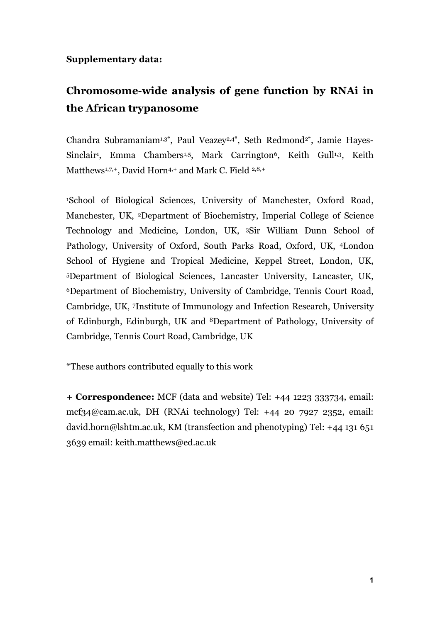## **Supplementary data:**

## **Chromosome-wide analysis of gene function by RNAi in the African trypanosome**

Chandra Subramaniam<sup>1,3\*</sup>, Paul Veazey<sup>2,4\*</sup>, Seth Redmond<sup>2\*</sup>, Jamie Hayes-Sinclair<sup>1</sup>, Emma Chambers<sup>1,5</sup>, Mark Carrington<sup>6</sup>, Keith Gull<sup>1,3</sup>, Keith Matthews<sup>1,7,+</sup>, David Horn<sup>4,+</sup> and Mark C. Field <sup>2,8,+</sup>

1School of Biological Sciences, University of Manchester, Oxford Road, Manchester, UK, 2Department of Biochemistry, Imperial College of Science Technology and Medicine, London, UK, 3Sir William Dunn School of Pathology, University of Oxford, South Parks Road, Oxford, UK, 4London School of Hygiene and Tropical Medicine, Keppel Street, London, UK, 5Department of Biological Sciences, Lancaster University, Lancaster, UK, 6Department of Biochemistry, University of Cambridge, Tennis Court Road, Cambridge, UK, 7Institute of Immunology and Infection Research, University of Edinburgh, Edinburgh, UK and 8Department of Pathology, University of Cambridge, Tennis Court Road, Cambridge, UK

\*These authors contributed equally to this work

**+ Correspondence:** MCF (data and website) Tel: +44 1223 333734, email: mcf34@cam.ac.uk, DH (RNAi technology) Tel: +44 20 7927 2352, email: david.horn@lshtm.ac.uk, KM (transfection and phenotyping) Tel: +44 131 651 3639 email: keith.matthews@ed.ac.uk